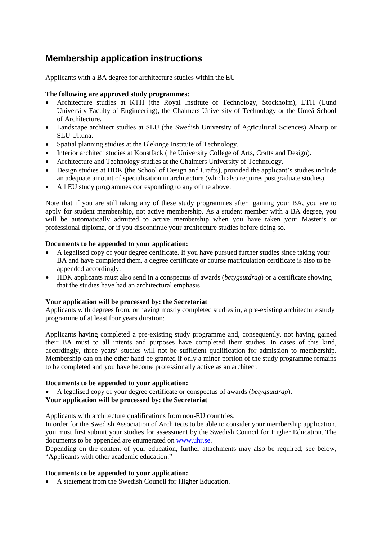# **Membership application instructions**

Applicants with a BA degree for architecture studies within the EU

## **The following are approved study programmes:**

- Architecture studies at KTH (the Royal Institute of Technology, Stockholm), LTH (Lund University Faculty of Engineering), the Chalmers University of Technology or the Umeå School of Architecture.
- Landscape architect studies at SLU (the Swedish University of Agricultural Sciences) Alnarp or SLU Ultuna.
- Spatial planning studies at the Blekinge Institute of Technology.
- Interior architect studies at Konstfack (the University College of Arts, Crafts and Design).
- Architecture and Technology studies at the Chalmers University of Technology.
- Design studies at HDK (the School of Design and Crafts), provided the applicant's studies include an adequate amount of specialisation in architecture (which also requires postgraduate studies).
- All EU study programmes corresponding to any of the above.

Note that if you are still taking any of these study programmes after gaining your BA, you are to apply for student membership, not active membership. As a student member with a BA degree, you will be automatically admitted to active membership when you have taken your Master's or professional diploma, or if you discontinue your architecture studies before doing so.

### **Documents to be appended to your application:**

- A legalised copy of your degree certificate. If you have pursued further studies since taking your BA and have completed them, a degree certificate or course matriculation certificate is also to be appended accordingly.
- HDK applicants must also send in a conspectus of awards (*betygsutdrag*) or a certificate showing that the studies have had an architectural emphasis.

#### **Your application will be processed by: the Secretariat**

Applicants with degrees from, or having mostly completed studies in, a pre-existing architecture study programme of at least four years duration:

Applicants having completed a pre-existing study programme and, consequently, not having gained their BA must to all intents and purposes have completed their studies. In cases of this kind, accordingly, three years' studies will not be sufficient qualification for admission to membership. Membership can on the other hand be granted if only a minor portion of the study programme remains to be completed and you have become professionally active as an architect.

#### **Documents to be appended to your application:**

• A legalised copy of your degree certificate or conspectus of awards (*betygsutdrag*).

# **Your application will be processed by: the Secretariat**

Applicants with architecture qualifications from non-EU countries:

In order for the Swedish Association of Architects to be able to consider your membership application, you must first submit your studies for assessment by the Swedish Council for Higher Education. The documents to be appended are enumerated o[n www.uhr.se.](http://www.uhr.se/)

Depending on the content of your education, further attachments may also be required; see below, "Applicants with other academic education."

# **Documents to be appended to your application:**

• A statement from the Swedish Council for Higher Education.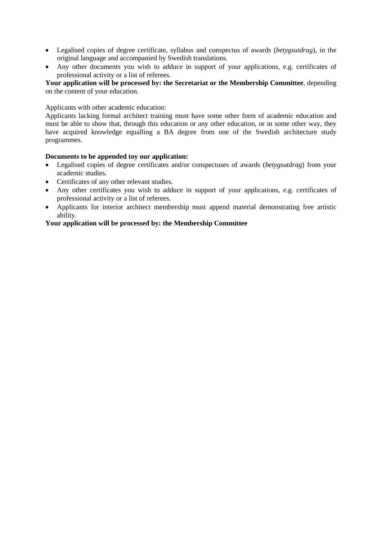- Legalised copies of degree certificate, syllabus and conspectus of awards (*betygsutdrag*), in the original language and accompanied by Swedish translations.
- Any other documents you wish to adduce in support of your applications, e.g. certificates of professional activity or a list of referees.

**Your application will be processed by: the Secretariat or the Membership Committee**, depending on the content of your education.

#### Applicants with other academic education:

Applicants lacking formal architect training must have some other form of academic education and must be able to show that, through this education or any other education, or in some other way, they have acquired knowledge equalling a BA degree from one of the Swedish architecture study programmes.

#### **Documents to be appended toy our application:**

- Legalised copies of degree certificates and/or conspectuses of awards (*betygsutdrag*) from your academic studies.
- Certificates of any other relevant studies.
- Any other certificates you wish to adduce in support of your applications, e.g. certificates of professional activity or a list of referees.
- Applicants for interior architect membership must append material demonstrating free artistic ability.

#### **Your application will be processed by: the Membership Committee**